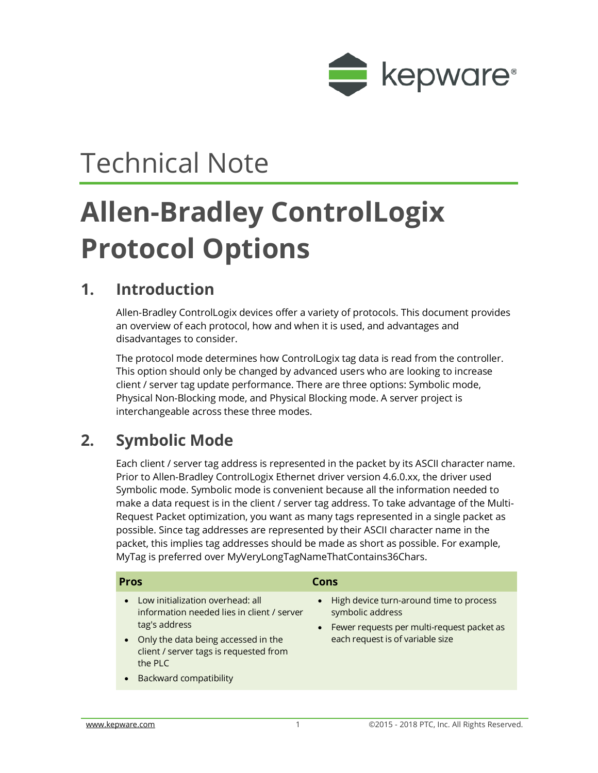

## Technical Note

# **Allen-Bradley ControlLogix Protocol Options**

#### **1. Introduction**

Allen-Bradley ControlLogix devices offer a variety of protocols. This document provides an overview of each protocol, how and when it is used, and advantages and disadvantages to consider.

The protocol mode determines how ControlLogix tag data is read from the controller. This option should only be changed by advanced users who are looking to increase client / server tag update performance. There are three options: Symbolic mode, Physical Non-Blocking mode, and Physical Blocking mode. A server project is interchangeable across these three modes.

### **2. Symbolic Mode**

Each client / server tag address is represented in the packet by its ASCII character name. Prior to Allen-Bradley ControlLogix Ethernet driver version 4.6.0.xx, the driver used Symbolic mode. Symbolic mode is convenient because all the information needed to make a data request is in the client / server tag address. To take advantage of the Multi-Request Packet optimization, you want as many tags represented in a single packet as possible. Since tag addresses are represented by their ASCII character name in the packet, this implies tag addresses should be made as short as possible. For example, MyTag is preferred over MyVeryLongTagNameThatContains36Chars.

| <b>Pros</b>                                                                                                                                                                                                                                                         | Cons                                                                                                                                            |
|---------------------------------------------------------------------------------------------------------------------------------------------------------------------------------------------------------------------------------------------------------------------|-------------------------------------------------------------------------------------------------------------------------------------------------|
| Low initialization overhead: all<br>$\bullet$<br>information needed lies in client / server<br>tag's address<br>Only the data being accessed in the<br>$\bullet$<br>client / server tags is requested from<br>the PLC<br><b>Backward compatibility</b><br>$\bullet$ | • High device turn-around time to process<br>symbolic address<br>Fewer requests per multi-request packet as<br>each request is of variable size |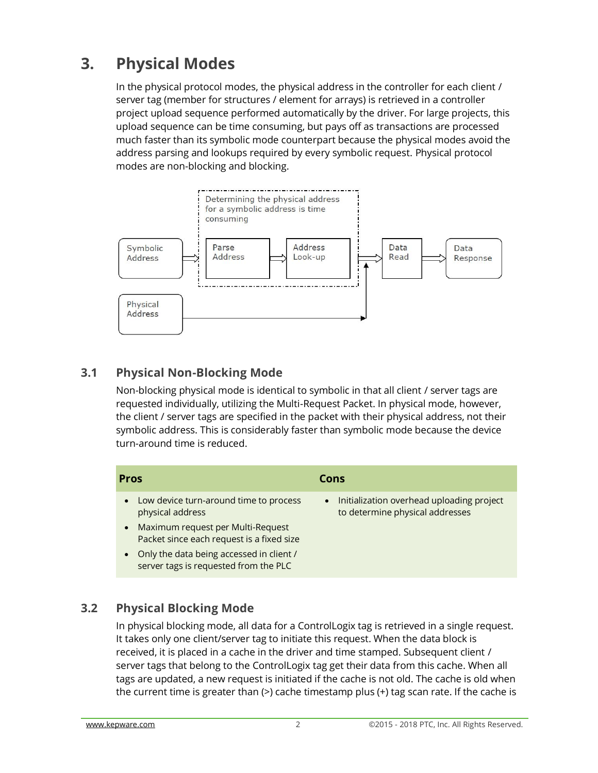## **3. Physical Modes**

In the physical protocol modes, the physical address in the controller for each client / server tag (member for structures / element for arrays) is retrieved in a controller project upload sequence performed automatically by the driver. For large projects, this upload sequence can be time consuming, but pays off as transactions are processed much faster than its symbolic mode counterpart because the physical modes avoid the address parsing and lookups required by every symbolic request. Physical protocol modes are non-blocking and blocking.



#### **3.1 Physical Non-Blocking Mode**

Non-blocking physical mode is identical to symbolic in that all client / server tags are requested individually, utilizing the Multi-Request Packet. In physical mode, however, the client / server tags are specified in the packet with their physical address, not their symbolic address. This is considerably faster than symbolic mode because the device turn-around time is reduced.

| <b>Pros</b>                                                                                    | Cons                                                                                      |
|------------------------------------------------------------------------------------------------|-------------------------------------------------------------------------------------------|
| Low device turn-around time to process<br>$\bullet$<br>physical address                        | Initialization overhead uploading project<br>$\bullet$<br>to determine physical addresses |
| Maximum request per Multi-Request<br>$\bullet$<br>Packet since each request is a fixed size    |                                                                                           |
| Only the data being accessed in client /<br>$\bullet$<br>server tags is requested from the PLC |                                                                                           |

#### **3.2 Physical Blocking Mode**

In physical blocking mode, all data for a ControlLogix tag is retrieved in a single request. It takes only one client/server tag to initiate this request. When the data block is received, it is placed in a cache in the driver and time stamped. Subsequent client / server tags that belong to the ControlLogix tag get their data from this cache. When all tags are updated, a new request is initiated if the cache is not old. The cache is old when the current time is greater than  $(>)$  cache timestamp plus  $(+)$  tag scan rate. If the cache is